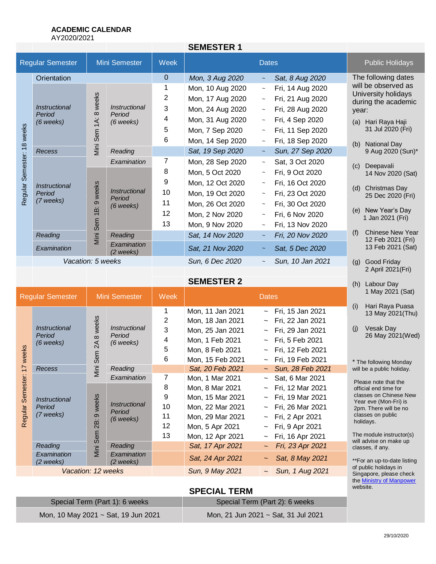# **ACADEMIC CALENDAR**

AY2020/2021

|                                          |                                                    |                            |                                                               |             | <b>SEMESTER 1</b> |                        |                  |     |                                                                   |  |
|------------------------------------------|----------------------------------------------------|----------------------------|---------------------------------------------------------------|-------------|-------------------|------------------------|------------------|-----|-------------------------------------------------------------------|--|
| <b>Regular Semester</b><br>Mini Semester |                                                    | <b>Week</b>                | <b>Dates</b>                                                  |             |                   | <b>Public Holidays</b> |                  |     |                                                                   |  |
|                                          | Orientation                                        |                            |                                                               | $\mathbf 0$ | Mon, 3 Aug 2020   | $\sim$                 | Sat, 8 Aug 2020  |     | The following dates                                               |  |
|                                          | Instructional<br>Period<br>$(6$ weeks)             | 8 weeks<br>1A:<br>Mini Sem | <i>Instructional</i><br>Period<br>$(6$ weeks)                 | 1           | Mon, 10 Aug 2020  | $\thicksim$            | Fri, 14 Aug 2020 |     | will be observed as<br>University holidays<br>during the academic |  |
|                                          |                                                    |                            |                                                               | 2           | Mon, 17 Aug 2020  | $\tilde{}$             | Fri, 21 Aug 2020 |     |                                                                   |  |
|                                          |                                                    |                            |                                                               | 3           | Mon, 24 Aug 2020  | $\tilde{}$             | Fri, 28 Aug 2020 |     | year:                                                             |  |
| 18 weeks<br>Semester:                    |                                                    |                            |                                                               | 4           | Mon, 31 Aug 2020  | $\tilde{}$             | Fri, 4 Sep 2020  |     | (a) Hari Raya Haji                                                |  |
|                                          |                                                    |                            |                                                               | 5           | Mon, 7 Sep 2020   | $\tilde{}$             | Fri, 11 Sep 2020 |     | 31 Jul 2020 (Fri)                                                 |  |
|                                          |                                                    |                            |                                                               | 6           | Mon, 14 Sep 2020  | $\tilde{\phantom{a}}$  | Fri, 18 Sep 2020 | (b) | <b>National Day</b>                                               |  |
|                                          | Recess                                             |                            | Reading                                                       |             | Sat, 19 Sep 2020  | $\tilde{\phantom{a}}$  | Sun, 27 Sep 2020 |     | 9 Aug 2020 (Sun)*                                                 |  |
|                                          | <i><b>Instructional</b></i><br>Period<br>(7 weeks) | weeks<br>ၜ<br>Φä           | Examination                                                   | 7           | Mon, 28 Sep 2020  | $\tilde{\phantom{a}}$  | Sat, 3 Oct 2020  | (c) | Deepavali                                                         |  |
|                                          |                                                    |                            | Instructional<br>Period<br>$(6$ weeks)<br>Mini Sem<br>Reading | 8           | Mon, 5 Oct 2020   | $\tilde{}$             | Fri, 9 Oct 2020  |     | 14 Nov 2020 (Sat)                                                 |  |
|                                          |                                                    |                            |                                                               | 9           | Mon, 12 Oct 2020  | $\tilde{}$             | Fri, 16 Oct 2020 |     | Christmas Day<br>(d)                                              |  |
| Regular                                  |                                                    |                            |                                                               | 10          | Mon, 19 Oct 2020  | $\tilde{}$             | Fri, 23 Oct 2020 |     | 25 Dec 2020 (Fri)                                                 |  |
|                                          |                                                    |                            |                                                               | 11          | Mon, 26 Oct 2020  | $\tilde{}$             | Fri, 30 Oct 2020 |     |                                                                   |  |
|                                          |                                                    |                            |                                                               | 12          | Mon, 2 Nov 2020   | $\sim$                 | Fri, 6 Nov 2020  | (e) | New Year's Day<br>1 Jan 2021 (Fri)                                |  |
|                                          |                                                    |                            |                                                               | 13          | Mon, 9 Nov 2020   | $\tilde{}$             | Fri, 13 Nov 2020 |     |                                                                   |  |
|                                          | Reading                                            |                            |                                                               |             | Sat, 14 Nov 2020  | $\sim$                 | Fri, 20 Nov 2020 | (f) | <b>Chinese New Year</b><br>12 Feb 2021 (Fri)                      |  |
|                                          | Examination                                        |                            | Examination<br>(2 weeks)                                      |             | Sat, 21 Nov 2020  | $\tilde{\phantom{a}}$  | Sat, 5 Dec 2020  |     | 13 Feb 2021 (Sat)                                                 |  |
|                                          | Vacation: 5 weeks                                  |                            |                                                               |             | Sun, 6 Dec 2020   | $\tilde{\phantom{a}}$  | Sun, 10 Jan 2021 | (g) | Good Friday                                                       |  |
|                                          |                                                    |                            |                                                               |             |                   |                        |                  |     | 2 April 2021(Fri)                                                 |  |

**SEMESTER 2**

| <b>Regular Semester</b> |                                                      | Mini Semester                             |                                               | Week            | <b>Dates</b>           |                                                  | 1 May 2021 (Sat)                                                                                  |
|-------------------------|------------------------------------------------------|-------------------------------------------|-----------------------------------------------|-----------------|------------------------|--------------------------------------------------|---------------------------------------------------------------------------------------------------|
| weeks<br>∼<br>Semester  | <i><b>Instructional</b></i><br>Period<br>$(6$ weeks) | weeks<br>$\infty$<br>≾<br>5چ<br>Ō<br>Mini | Instructional<br>Period<br>$(6$ weeks)        |                 | Mon, 11 Jan 2021       | $\sim$ Fri, 15 Jan 2021                          | (i)<br>Hari Raya Puasa<br>13 May 2021(Thu)                                                        |
|                         |                                                      |                                           |                                               | 2               | Mon, 18 Jan 2021       | $\sim$ Fri, 22 Jan 2021                          |                                                                                                   |
|                         |                                                      |                                           |                                               | 3               | Mon, 25 Jan 2021       | $\sim$ Fri, 29 Jan 2021                          | Vesak Day<br>(i)<br>26 May 2021(Wed)                                                              |
|                         |                                                      |                                           |                                               | 4               | Mon, 1 Feb 2021        | $\sim$ Fri, 5 Feb 2021                           |                                                                                                   |
|                         |                                                      |                                           |                                               | 5               | Mon, 8 Feb 2021        | Fri, 12 Feb 2021                                 |                                                                                                   |
|                         |                                                      |                                           |                                               | 6               | Mon, 15 Feb 2021       | $\sim$ Fri, 19 Feb 2021                          | * The following Monday                                                                            |
|                         | <b>Recess</b>                                        |                                           | Reading                                       |                 | Sat, 20 Feb 2021       | $\sim$ Sun, 28 Feb 2021                          | will be a public holiday.                                                                         |
|                         | <i><b>Instructional</b></i><br>Period<br>(7 weeks)   | weeks<br>$\infty$<br>άġ<br>Viini Sem      | Examination                                   | 7               | Mon, 1 Mar 2021        | $\sim$ Sat, 6 Mar 2021                           | Please note that the                                                                              |
|                         |                                                      |                                           | <i>Instructional</i><br>Period<br>$(6$ weeks) | 8               | Mon, 8 Mar 2021        | $\sim$ Fri, 12 Mar 2021                          | official end time for<br>classes on Chinese New<br>Year eve (Mon-Fri) is<br>2pm. There will be no |
|                         |                                                      |                                           |                                               | 9               | Mon, 15 Mar 2021       | Fri, 19 Mar 2021<br>$\sim$ $-$                   |                                                                                                   |
|                         |                                                      |                                           |                                               | 10              | Mon, 22 Mar 2021       | $\sim$ Fri, 26 Mar 2021                          |                                                                                                   |
| Regular                 |                                                      |                                           |                                               | 11              | Mon, 29 Mar 2021       | $\sim$ Fri, 2 Apr 2021                           | classes on public                                                                                 |
|                         |                                                      |                                           |                                               | 12              | Mon, 5 Apr 2021        | $\sim$ Fri, 9 Apr 2021                           | holidays.                                                                                         |
|                         |                                                      |                                           |                                               | 13              | Mon, 12 Apr 2021       | $\sim$ Fri, 16 Apr 2021                          | The module instructor(s)                                                                          |
|                         | Reading                                              |                                           | Reading                                       |                 | Sat, 17 Apr 2021       | Fri, 23 Apr 2021<br>$\sim$                       | will advise on make up<br>classes, if any.                                                        |
|                         | Examination<br>(2 weeks)                             |                                           | Examination<br>$(2 \text{ weeks})$            |                 | Sat, 24 Apr 2021       | Sat, 8 May 2021                                  | **For an up-to-date listing                                                                       |
|                         | Vacation: 12 weeks                                   |                                           |                                               | Sun, 9 May 2021 | $\sim$ Sun, 1 Aug 2021 | of public holidays in<br>Singapore, please check |                                                                                                   |

# **SPECIAL TERM**

| Special Term (Part 1): 6 weeks      | Special Term (Part 2): 6 weeks      |  |  |  |
|-------------------------------------|-------------------------------------|--|--|--|
| Mon, 10 May 2021 ~ Sat, 19 Jun 2021 | Mon, 21 Jun 2021 ~ Sat, 31 Jul 2021 |  |  |  |

#### 29/10/2020

the **Ministry of Manpower** 

website.

(h) Labour Day